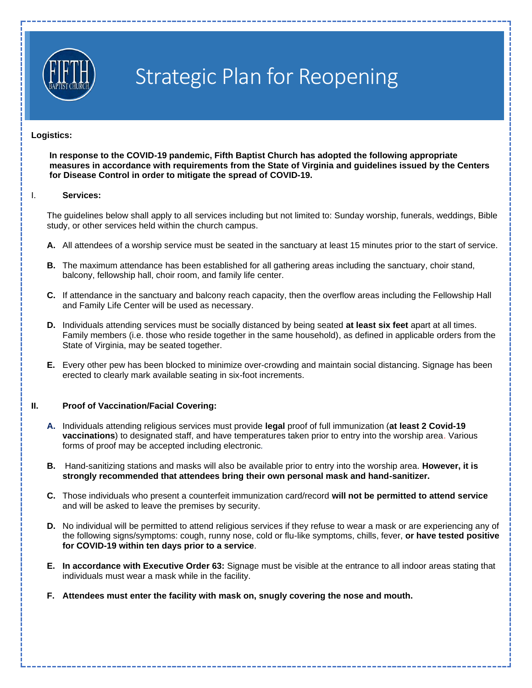

# Strategic Plan for Reopening

## **Logistics:**

**In response to the COVID-19 pandemic, Fifth Baptist Church has adopted the following appropriate measures in accordance with requirements from the State of Virginia and guidelines issued by the Centers for Disease Control in order to mitigate the spread of COVID-19.**

## I. **Services:**

The guidelines below shall apply to all services including but not limited to: Sunday worship, funerals, weddings, Bible study, or other services held within the church campus.

- **A.** All attendees of a worship service must be seated in the sanctuary at least 15 minutes prior to the start of service.
- **B.** The maximum attendance has been established for all gathering areas including the sanctuary, choir stand, balcony, fellowship hall, choir room, and family life center.
- **C.** If attendance in the sanctuary and balcony reach capacity, then the overflow areas including the Fellowship Hall and Family Life Center will be used as necessary.
- **D.** Individuals attending services must be socially distanced by being seated **at least six feet** apart at all times. Family members (i.e. those who reside together in the same household), as defined in applicable orders from the State of Virginia, may be seated together.
- **E.** Every other pew has been blocked to minimize over-crowding and maintain social distancing. Signage has been erected to clearly mark available seating in six-foot increments.

# **II. Proof of Vaccination/Facial Covering:**

- **A.** Individuals attending religious services must provide **legal** proof of full immunization (**at least 2 Covid-19 vaccinations**) to designated staff, and have temperatures taken prior to entry into the worship area. Various forms of proof may be accepted including electronic*.*
- **B.** Hand-sanitizing stations and masks will also be available prior to entry into the worship area. **However, it is strongly recommended that attendees bring their own personal mask and hand-sanitizer.**
- **C.** Those individuals who present a counterfeit immunization card/record **will not be permitted to attend service**  and will be asked to leave the premises by security.
- **D.** No individual will be permitted to attend religious services if they refuse to wear a mask or are experiencing any of the following signs/symptoms: cough, runny nose, cold or flu-like symptoms, chills, fever, **or have tested positive for COVID-19 within ten days prior to a service**.
- **E. In accordance with Executive Order 63:** Signage must be visible at the entrance to all indoor areas stating that individuals must wear a mask while in the facility.
- **F. Attendees must enter the facility with mask on, snugly covering the nose and mouth.**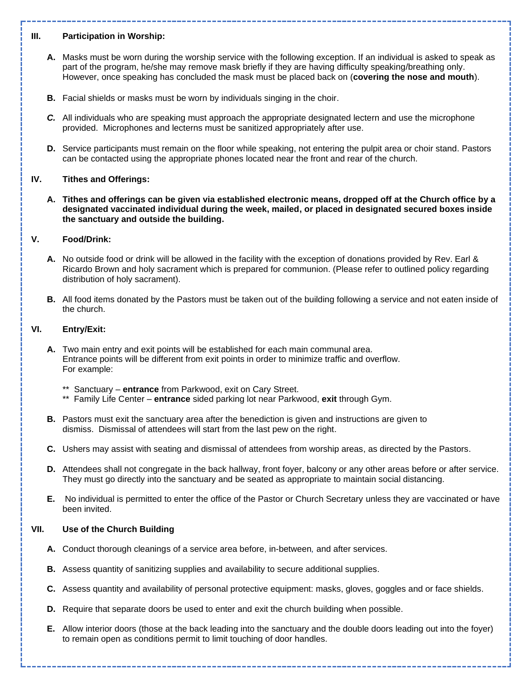# **III. Participation in Worship:**

- **A.** Masks must be worn during the worship service with the following exception. If an individual is asked to speak as part of the program, he/she may remove mask briefly if they are having difficulty speaking/breathing only. However, once speaking has concluded the mask must be placed back on (**covering the nose and mouth**).
- **B.** Facial shields or masks must be worn by individuals singing in the choir.
- *C.* All individuals who are speaking must approach the appropriate designated lectern and use the microphone provided. Microphones and lecterns must be sanitized appropriately after use.
- **D.** Service participants must remain on the floor while speaking, not entering the pulpit area or choir stand. Pastors can be contacted using the appropriate phones located near the front and rear of the church.

# **IV. Tithes and Offerings:**

**A. Tithes and offerings can be given via established electronic means, dropped off at the Church office by a designated vaccinated individual during the week, mailed, or placed in designated secured boxes inside the sanctuary and outside the building.**

## **V. Food/Drink:**

- **A.** No outside food or drink will be allowed in the facility with the exception of donations provided by Rev. Earl & Ricardo Brown and holy sacrament which is prepared for communion. (Please refer to outlined policy regarding distribution of holy sacrament).
- **B.** All food items donated by the Pastors must be taken out of the building following a service and not eaten inside of the church.

## **VI. Entry/Exit:**

- **A.** Two main entry and exit points will be established for each main communal area. Entrance points will be different from exit points in order to minimize traffic and overflow. For example:
	- Sanctuary **entrance** from Parkwood, exit on Cary Street.
	- \*\* Family Life Center **entrance** sided parking lot near Parkwood, **exit** through Gym.
- **B.** Pastors must exit the sanctuary area after the benediction is given and instructions are given to dismiss. Dismissal of attendees will start from the last pew on the right.
- **C.** Ushers may assist with seating and dismissal of attendees from worship areas, as directed by the Pastors.
- **D.** Attendees shall not congregate in the back hallway, front foyer, balcony or any other areas before or after service. They must go directly into the sanctuary and be seated as appropriate to maintain social distancing.
- **E.** No individual is permitted to enter the office of the Pastor or Church Secretary unless they are vaccinated or have been invited.

## **VII. Use of the Church Building**

- **A.** Conduct thorough cleanings of a service area before, in-between*,* and after services.
- **B.** Assess quantity of sanitizing supplies and availability to secure additional supplies.
- **C.** Assess quantity and availability of personal protective equipment: masks, gloves, goggles and or face shields.
- **D.** Require that separate doors be used to enter and exit the church building when possible.
- **E.** Allow interior doors (those at the back leading into the sanctuary and the double doors leading out into the foyer) to remain open as conditions permit to limit touching of door handles.